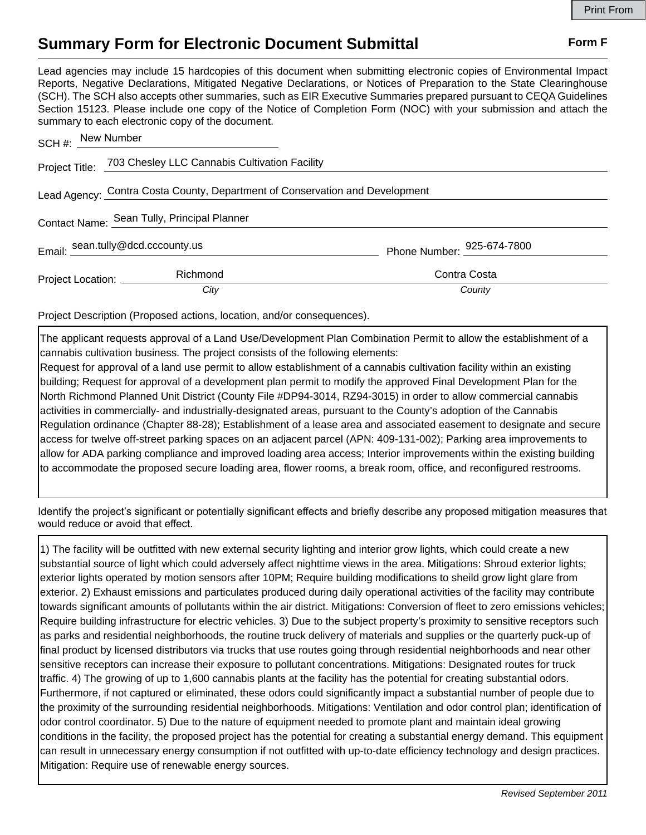## **Summary Form for Electronic Document Submittal Form F Form F**

Lead agencies may include 15 hardcopies of this document when submitting electronic copies of Environmental Impact Reports, Negative Declarations, Mitigated Negative Declarations, or Notices of Preparation to the State Clearinghouse (SCH). The SCH also accepts other summaries, such as EIR Executive Summaries prepared pursuant to CEQA Guidelines Section 15123. Please include one copy of the Notice of Completion Form (NOC) with your submission and attach the summary to each electronic copy of the document.

| SCH #: New Number                                                            |                                                              |                            |
|------------------------------------------------------------------------------|--------------------------------------------------------------|----------------------------|
|                                                                              | Project Title: 703 Chesley LLC Cannabis Cultivation Facility |                            |
| Lead Agency: Contra Costa County, Department of Conservation and Development |                                                              |                            |
| Contact Name: Sean Tully, Principal Planner                                  |                                                              |                            |
|                                                                              | Email: sean.tully@dcd.cccounty.us                            | Phone Number: 925-674-7800 |
| Project Location: _________                                                  | Richmond                                                     | Contra Costa               |
|                                                                              | City                                                         | County                     |

Project Description (Proposed actions, location, and/or consequences).

The applicant requests approval of a Land Use/Development Plan Combination Permit to allow the establishment of a cannabis cultivation business. The project consists of the following elements: Request for approval of a land use permit to allow establishment of a cannabis cultivation facility within an existing

building; Request for approval of a development plan permit to modify the approved Final Development Plan for the North Richmond Planned Unit District (County File #DP94-3014, RZ94-3015) in order to allow commercial cannabis activities in commercially- and industrially-designated areas, pursuant to the County's adoption of the Cannabis Regulation ordinance (Chapter 88-28); Establishment of a lease area and associated easement to designate and secure access for twelve off-street parking spaces on an adjacent parcel (APN: 409-131-002); Parking area improvements to allow for ADA parking compliance and improved loading area access; Interior improvements within the existing building to accommodate the proposed secure loading area, flower rooms, a break room, office, and reconfigured restrooms.

Identify the project's significant or potentially significant effects and briefly describe any proposed mitigation measures that would reduce or avoid that effect.

1) The facility will be outfitted with new external security lighting and interior grow lights, which could create a new substantial source of light which could adversely affect nighttime views in the area. Mitigations: Shroud exterior lights; exterior lights operated by motion sensors after 10PM; Require building modifications to sheild grow light glare from exterior. 2) Exhaust emissions and particulates produced during daily operational activities of the facility may contribute towards significant amounts of pollutants within the air district. Mitigations: Conversion of fleet to zero emissions vehicles; Require building infrastructure for electric vehicles. 3) Due to the subject property's proximity to sensitive receptors such as parks and residential neighborhoods, the routine truck delivery of materials and supplies or the quarterly puck-up of final product by licensed distributors via trucks that use routes going through residential neighborhoods and near other sensitive receptors can increase their exposure to pollutant concentrations. Mitigations: Designated routes for truck traffic. 4) The growing of up to 1,600 cannabis plants at the facility has the potential for creating substantial odors. Furthermore, if not captured or eliminated, these odors could significantly impact a substantial number of people due to the proximity of the surrounding residential neighborhoods. Mitigations: Ventilation and odor control plan; identification of odor control coordinator. 5) Due to the nature of equipment needed to promote plant and maintain ideal growing conditions in the facility, the proposed project has the potential for creating a substantial energy demand. This equipment can result in unnecessary energy consumption if not outfitted with up-to-date efficiency technology and design practices. Mitigation: Require use of renewable energy sources.